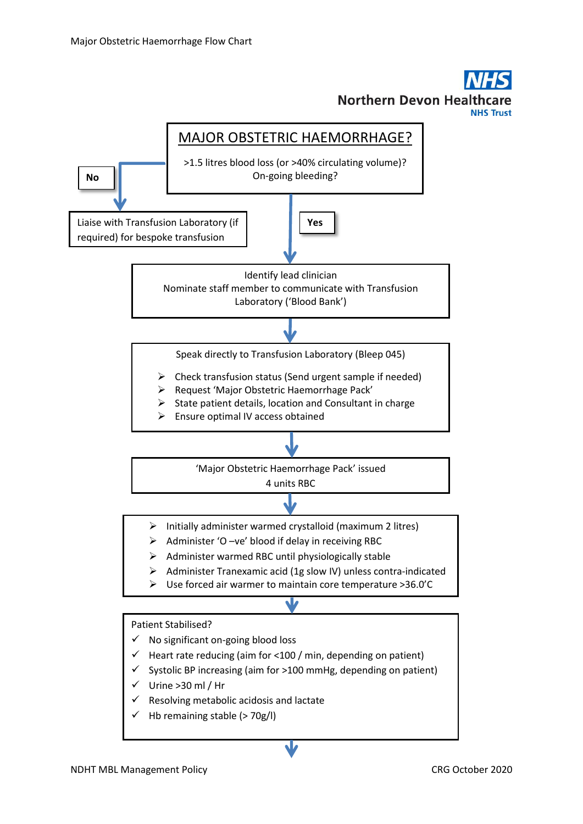